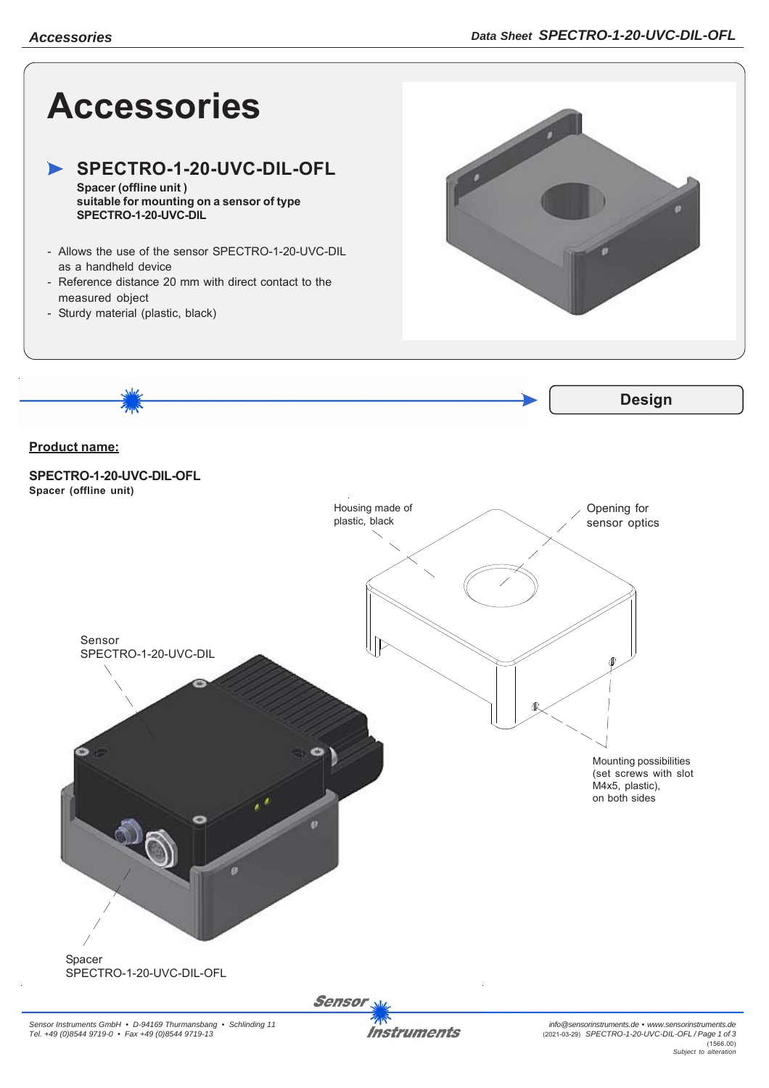

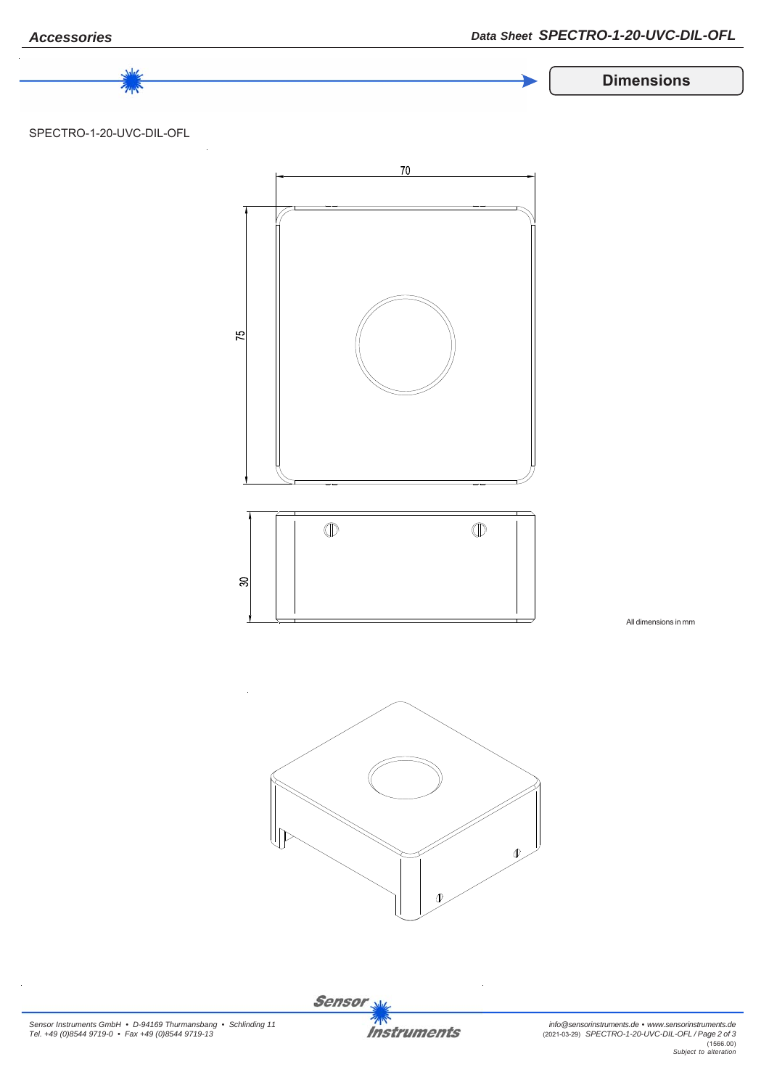

Sensor<sub>N</sub> **Instruments**